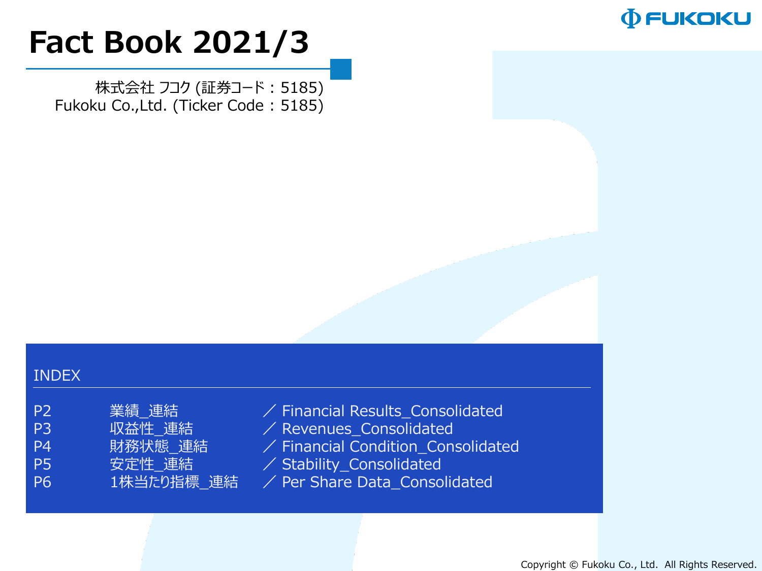

# **Fact Book 2021/3**

株式会社 フコク (証券コード : 5185) Fukoku Co.,Ltd. (Ticker Code : 5185)

#### INDEX

| P <sub>2</sub> | 業績 連結     |
|----------------|-----------|
| P3             | 収益性 連結    |
| - P4           | 財務状態 連結   |
| P5             | 安定性 連結    |
| -P6            | 1株当たり指標 週 |

 $\angle$  Financial Results\_Consolidated  $\angle$  Revenues\_Consolidated  $\angle$  Financial Condition\_Consolidated

- $\angle$  Stability\_Consolidated
- **建結 / Per Share Data\_Consolidated**

Copyright © Fukoku Co., Ltd. All Rights Reserved.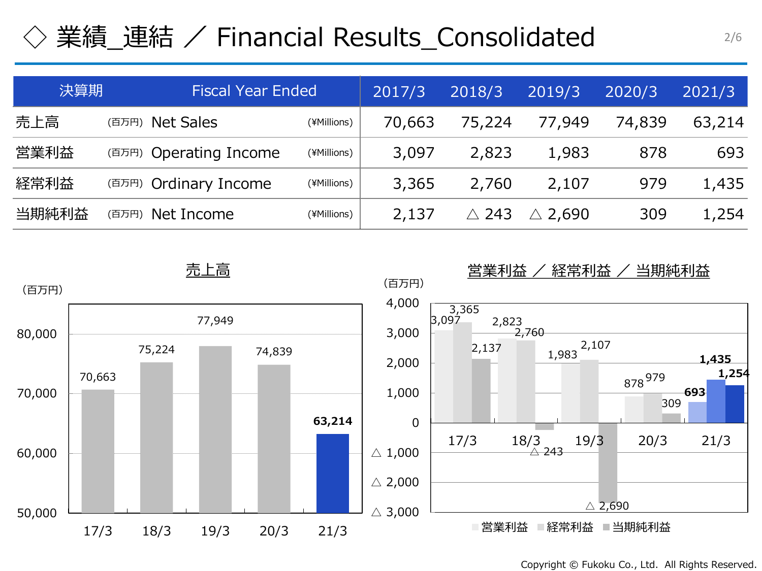# ◇ 業績\_連結 / Financial Results\_Consolidated

| 決算期   |       | <b>Fiscal Year Ended</b> | 2017/3      | 2018/3 | 2019/3 | 2020/3            | 2021/3 |        |
|-------|-------|--------------------------|-------------|--------|--------|-------------------|--------|--------|
| 売上高   | (百万円) | <b>Net Sales</b>         | (¥Millions) | 70,663 | 75,224 | 77,949            | 74,839 | 63,214 |
| 営業利益  |       | (百万円) Operating Income   | (¥Millions) | 3,097  | 2,823  | 1,983             | 878    | 693    |
| 経常利益  |       | (百万円) Ordinary Income    | (¥Millions) | 3,365  | 2,760  | 2,107             | 979    | 1,435  |
| 当期純利益 | (百万円) | Net Income               | (¥Millions) | 2,137  | -243   | $\triangle$ 2,690 | 309    | 1,254  |



Copyright © Fukoku Co., Ltd. All Rights Reserved.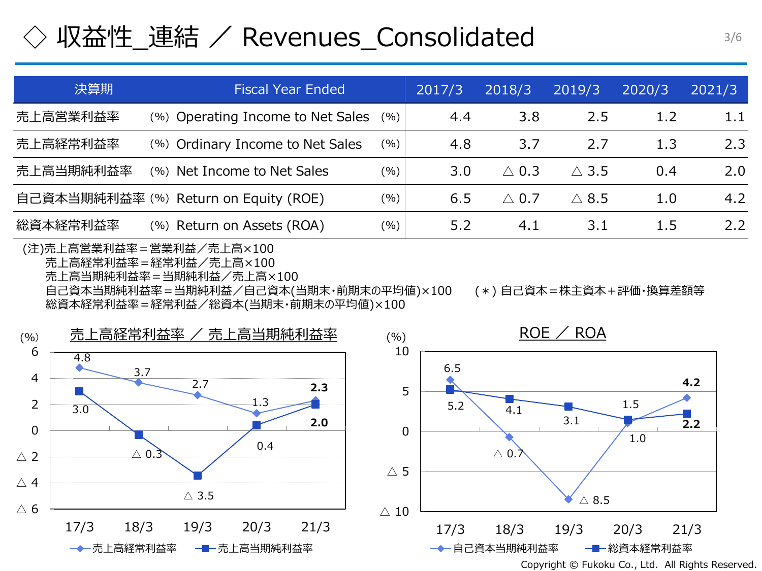### 収益性\_連結 / Revenues\_Consolidated

| 決算期       | 2017/3                                | 2018/3  | 2019/3 | 2020/3          | 2021/3       |     |     |
|-----------|---------------------------------------|---------|--------|-----------------|--------------|-----|-----|
| 売上高営業利益率  | (%) Operating Income to Net Sales     | (% )    | 4.4    | 3.8             | 2.5          | 1.2 | 1.1 |
| 売上高経常利益率  | (%) Ordinary Income to Net Sales      | $(\% )$ | 4.8    | 3.7             | 2.7          | 1.3 | 2.3 |
| 売上高当期純利益率 | (%) Net Income to Net Sales           | (9/0)   | 3.0    | $\wedge$ 0.3    | $\wedge$ 3.5 | 0.4 | 2.0 |
|           | 自己資本当期純利益率 (%) Return on Equity (ROE) | (%)     | 6.5    | $\triangle$ 0.7 | $\wedge$ 8.5 | 1.0 | 4.2 |
| 総資本経常利益率  | (%) Return on Assets (ROA)            | $(\%)$  | 5.2    | 4.1             | 3.1          | 1.5 | 2.2 |

(注)売上高営業利益率=営業利益/売上高×100 売上高経常利益率=経常利益/売上高×100 売上高当期純利益率=当期純利益/売上高×100 自己資本当期純利益率=当期純利益/自己資本(当期末・前期末の平均値)×100 (\*) 自己資本=株主資本+評価・換算差額等 総資本経常利益率=経常利益/総資本(当期末・前期末の平均値)×100

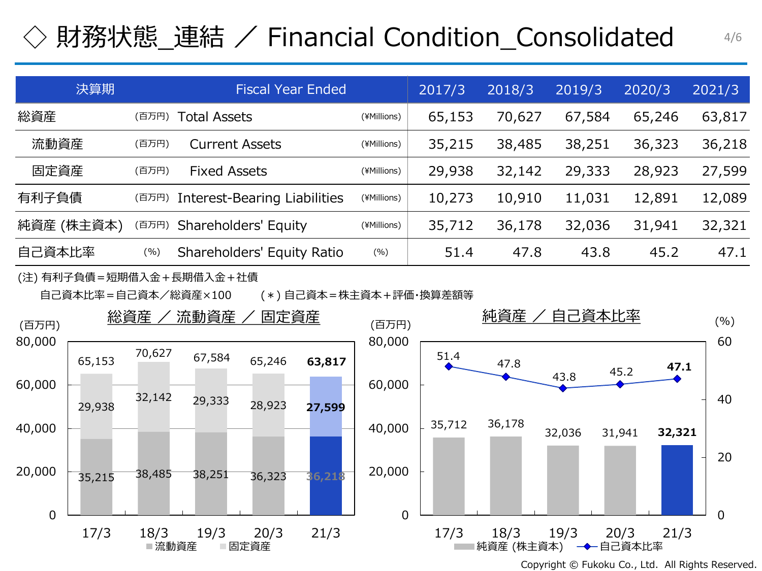# ◇ 財務状態\_連結 / Financial Condition\_Consolidated

| 決算期        | <b>Fiscal Year Ended</b> |                                     |             | 2017/3 | 2018/3 | 2019/3 | 2020/3 | 2021/3 |
|------------|--------------------------|-------------------------------------|-------------|--------|--------|--------|--------|--------|
| 総資産        | (百万円)                    | Total Assets                        | (¥Millions) | 65,153 | 70,627 | 67,584 | 65,246 | 63,817 |
| 流動資産       | (百万円)                    | <b>Current Assets</b>               | (¥Millions) | 35,215 | 38,485 | 38,251 | 36,323 | 36,218 |
| 固定資産       | (百万円)                    | <b>Fixed Assets</b>                 | (¥Millions) | 29,938 | 32,142 | 29,333 | 28,923 | 27,599 |
| 有利子負債      | (百万円)                    | <b>Interest-Bearing Liabilities</b> | (¥Millions) | 10,273 | 10,910 | 11,031 | 12,891 | 12,089 |
| 純資産 (株主資本) | (百万円)                    | Shareholders' Equity                | (¥Millions) | 35,712 | 36,178 | 32,036 | 31,941 | 32,321 |
| 自己資本比率     | (%)                      | Shareholders' Equity Ratio          | (%)         | 51.4   | 47.8   | 43.8   | 45.2   | 47.1   |

(注) 有利子負債=短期借入金+長期借入金+社債

自己資本比率=自己資本/総資産×100 (\*) 自己資本=株主資本+評価・換算差額等



Copyright © Fukoku Co., Ltd. All Rights Reserved.

4/6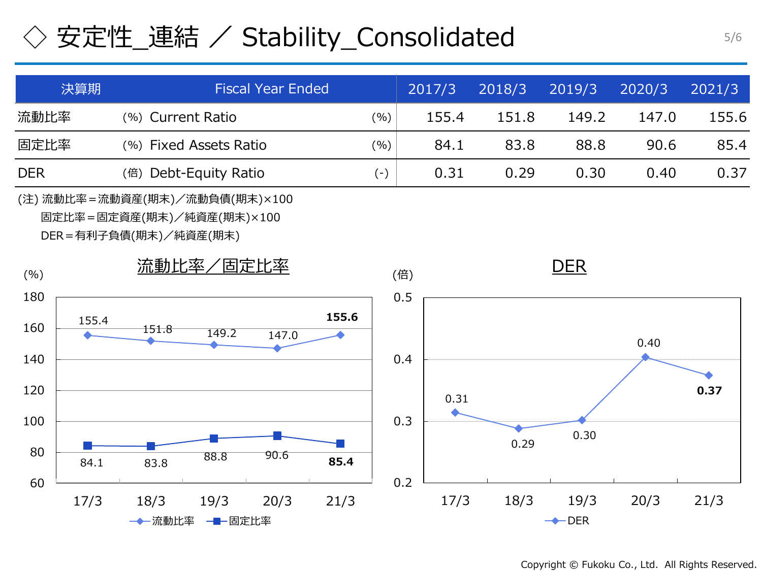# ◇ 安定性\_連結 / Stability\_Consolidated

|                                                                                        | 決算期   | <b>Fiscal Year Ended</b><br>2017/3 |                 |       |       |  |     |       | 2018/3 | 2019/3                    | 2020/3 | 2021/3 |
|----------------------------------------------------------------------------------------|-------|------------------------------------|-----------------|-------|-------|--|-----|-------|--------|---------------------------|--------|--------|
| 流動比率                                                                                   |       | (%) Current Ratio<br>(% )          |                 |       |       |  |     | 155.4 | 151.8  | 149.2                     | 147.0  | 155.6  |
| 固定比率                                                                                   |       | (%) Fixed Assets Ratio<br>(%)      |                 |       |       |  |     | 84.1  | 83.8   | 88.8                      | 90.6   | 85.4   |
| <b>DER</b>                                                                             |       | (倍) Debt-Equity Ratio<br>$(-)$     |                 |       |       |  |     | 0.31  | 0.29   | 0.30                      | 0.40   | 0.37   |
| (注) 流動比率 = 流動資産(期末)/流動負債(期末)×100<br>固定比率=固定資産(期末)/純資産(期末)×100<br>DER=有利子負債(期末)/純資産(期末) |       |                                    |                 |       |       |  |     |       |        |                           |        |        |
| (% )                                                                                   |       | 流動比率/固定比率                          |                 |       |       |  | (倍) |       |        | <b>DER</b>                |        |        |
| 180<br>160                                                                             | 155.4 | 151.8                              | 149.2           | 147.0 | 155.6 |  | 0.5 |       |        |                           | 0.40   |        |
| 140<br>120                                                                             |       |                                    |                 |       |       |  | 0.4 | 0.31  |        |                           |        | 0.37   |
| 100<br>80                                                                              | 84.1  | 83.8                               | 88.8            | 90.6  | 85.4  |  | 0.3 |       | 0.29   | 0.30                      |        |        |
| 60                                                                                     | 17/3  | 18/3<br>→ 流動比率                     | 19/3<br>一┣━固定比率 | 20/3  | 21/3  |  | 0.2 | 17/3  | 18/3   | 19/3<br>$\rightarrow$ DER | 20/3   | 21/3   |

Copyright © Fukoku Co., Ltd. All Rights Reserved.